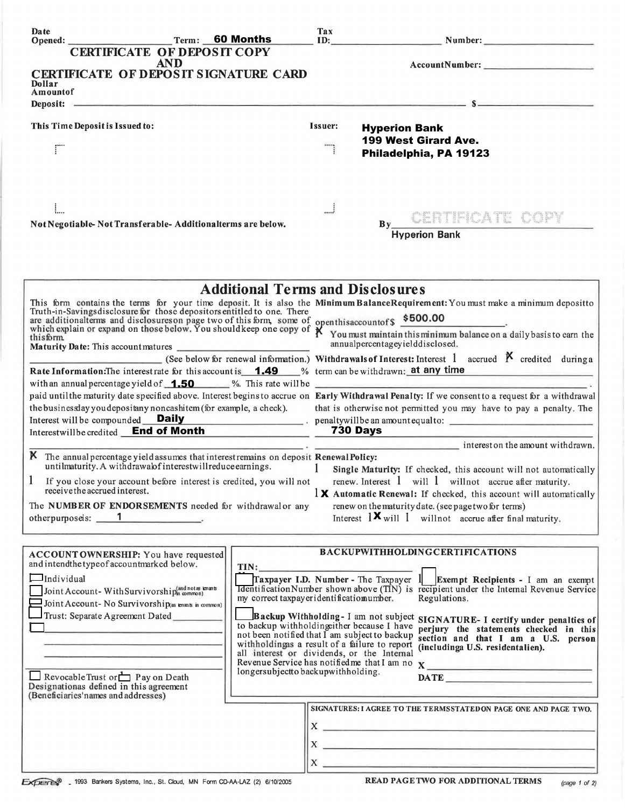| Date<br>Opened:                                                                                                                                                                                                                                                      | Term: 60 Months                                                     |                                                                                            | Tax                                                                |                                 | ID: Number: Number:                                                                                                                                                                                                                  |  |
|----------------------------------------------------------------------------------------------------------------------------------------------------------------------------------------------------------------------------------------------------------------------|---------------------------------------------------------------------|--------------------------------------------------------------------------------------------|--------------------------------------------------------------------|---------------------------------|--------------------------------------------------------------------------------------------------------------------------------------------------------------------------------------------------------------------------------------|--|
|                                                                                                                                                                                                                                                                      | <b>CERTIFICATE OF DEPOSIT COPY</b>                                  |                                                                                            |                                                                    |                                 |                                                                                                                                                                                                                                      |  |
|                                                                                                                                                                                                                                                                      | <b>AND</b>                                                          |                                                                                            |                                                                    |                                 |                                                                                                                                                                                                                                      |  |
| CERTIFICATE OF DEPOSIT SIGNATURE CARD<br>Dollar                                                                                                                                                                                                                      |                                                                     |                                                                                            |                                                                    |                                 |                                                                                                                                                                                                                                      |  |
| Amountof                                                                                                                                                                                                                                                             |                                                                     |                                                                                            |                                                                    |                                 | Deposit: $s = s$                                                                                                                                                                                                                     |  |
|                                                                                                                                                                                                                                                                      |                                                                     |                                                                                            |                                                                    |                                 |                                                                                                                                                                                                                                      |  |
| This Time Deposit is Issued to:                                                                                                                                                                                                                                      |                                                                     |                                                                                            | Issuer:                                                            | <b>Hyperion Bank</b>            |                                                                                                                                                                                                                                      |  |
|                                                                                                                                                                                                                                                                      |                                                                     |                                                                                            |                                                                    |                                 | <b>199 West Girard Ave.</b>                                                                                                                                                                                                          |  |
| ΓÏ                                                                                                                                                                                                                                                                   |                                                                     |                                                                                            |                                                                    |                                 | Philadelphia, PA 19123                                                                                                                                                                                                               |  |
|                                                                                                                                                                                                                                                                      |                                                                     |                                                                                            |                                                                    |                                 |                                                                                                                                                                                                                                      |  |
|                                                                                                                                                                                                                                                                      |                                                                     |                                                                                            |                                                                    |                                 |                                                                                                                                                                                                                                      |  |
|                                                                                                                                                                                                                                                                      |                                                                     |                                                                                            |                                                                    |                                 |                                                                                                                                                                                                                                      |  |
|                                                                                                                                                                                                                                                                      |                                                                     |                                                                                            |                                                                    |                                 | By CERTIFICATE COPY                                                                                                                                                                                                                  |  |
| Not Negotiable-Not Transferable-Additionalterms are below.                                                                                                                                                                                                           |                                                                     |                                                                                            | <b>Hyperion Bank</b>                                               |                                 |                                                                                                                                                                                                                                      |  |
|                                                                                                                                                                                                                                                                      |                                                                     |                                                                                            |                                                                    |                                 |                                                                                                                                                                                                                                      |  |
|                                                                                                                                                                                                                                                                      |                                                                     |                                                                                            |                                                                    |                                 |                                                                                                                                                                                                                                      |  |
|                                                                                                                                                                                                                                                                      |                                                                     |                                                                                            |                                                                    |                                 |                                                                                                                                                                                                                                      |  |
|                                                                                                                                                                                                                                                                      |                                                                     | <b>Additional Terms and Disclosures</b>                                                    |                                                                    |                                 |                                                                                                                                                                                                                                      |  |
|                                                                                                                                                                                                                                                                      |                                                                     |                                                                                            |                                                                    |                                 | This form contains the terms for your time deposit. It is also the Minimum BalanceRequirement: You must make a minimum depositto Truth-in-Savings disclosure for those depositors entitled to one. There                             |  |
|                                                                                                                                                                                                                                                                      |                                                                     |                                                                                            |                                                                    |                                 |                                                                                                                                                                                                                                      |  |
| and disclosure for the second theory of this form, some of openthis account of \$500.00<br>which explain or expand on those below. You should keep one copy of $\chi$ You must maintain this minimum balance on a daily basis to ear<br>thisform                     |                                                                     |                                                                                            |                                                                    |                                 |                                                                                                                                                                                                                                      |  |
|                                                                                                                                                                                                                                                                      |                                                                     |                                                                                            |                                                                    | annualpercentageyielddisclosed. |                                                                                                                                                                                                                                      |  |
|                                                                                                                                                                                                                                                                      |                                                                     |                                                                                            |                                                                    |                                 | (See below for renewal information.) Withdrawals of Interest: Interest 1 accrued $\beta$ credited during a                                                                                                                           |  |
| Rate Information: The interest rate for this account is <b>1.49</b> % term can be withdrawn: at any time<br>with an annual percentage yield of $\sqrt{1.50}$ %. This rate will be $\sqrt{2.5}$ with an annual percentage yield of $\sqrt{1.50}$ %. This rate will be |                                                                     |                                                                                            |                                                                    |                                 |                                                                                                                                                                                                                                      |  |
|                                                                                                                                                                                                                                                                      |                                                                     |                                                                                            |                                                                    |                                 | paid until the maturity date specified above. Interest begins to accrue on Early Withdrawal Penalty: If we consent to a request for a withdrawal                                                                                     |  |
| the businessday you depositany noncashitem (for example, a check).                                                                                                                                                                                                   |                                                                     |                                                                                            | that is otherwise not permitted you may have to pay a penalty. The |                                 |                                                                                                                                                                                                                                      |  |
| Interest will be compounded <b>Daily</b> penaltywill be an amount equal to:<br>Interestwillbe credited End of Month 730 Days                                                                                                                                         |                                                                     |                                                                                            |                                                                    |                                 |                                                                                                                                                                                                                                      |  |
|                                                                                                                                                                                                                                                                      |                                                                     |                                                                                            |                                                                    |                                 | $\frac{1}{2}$ interest on the amount withdrawn.                                                                                                                                                                                      |  |
| K The annual percentage yield assumes that interest remains on deposit Renewal Policy:                                                                                                                                                                               |                                                                     |                                                                                            |                                                                    |                                 |                                                                                                                                                                                                                                      |  |
|                                                                                                                                                                                                                                                                      | untilmaturity. A withdrawalof interestwill reduce earnings.         |                                                                                            | $\mathbf{1}$                                                       |                                 | Single Maturity: If checked, this account will not automatically                                                                                                                                                                     |  |
| receive the accrued interest.                                                                                                                                                                                                                                        | If you close your account before interest is credited, you will not |                                                                                            |                                                                    |                                 | renew. Interest 1 will 1 will not accrue after maturity.                                                                                                                                                                             |  |
|                                                                                                                                                                                                                                                                      |                                                                     |                                                                                            |                                                                    |                                 | $\frac{1}{2}$ Automatic Renewal: If checked, this account will automatically                                                                                                                                                         |  |
| The NUMBER OF ENDORSEMENTS needed for withdrawal or any<br>otherpurposeis: 1                                                                                                                                                                                         |                                                                     |                                                                                            |                                                                    |                                 | renew on the maturity date. (see page two for terms)<br>Interest $1 \times$ will 1 will not accrue after final maturity.                                                                                                             |  |
|                                                                                                                                                                                                                                                                      |                                                                     |                                                                                            |                                                                    |                                 |                                                                                                                                                                                                                                      |  |
|                                                                                                                                                                                                                                                                      |                                                                     |                                                                                            |                                                                    |                                 |                                                                                                                                                                                                                                      |  |
| ACCOUNT OWNERSHIP: You have requested<br>and intendthe type of accountmarked below.                                                                                                                                                                                  |                                                                     |                                                                                            |                                                                    |                                 | <b>BACKUPWITHHOLDINGCERTIFICATIONS</b>                                                                                                                                                                                               |  |
| $\Box$ Individual                                                                                                                                                                                                                                                    |                                                                     | TIN:                                                                                       |                                                                    |                                 | Traxpayer I.D. Number - The Taxpayer $1$ Exempt Recipients - I am an exempt                                                                                                                                                          |  |
| Joint Account-With Survivorship(and notes knants                                                                                                                                                                                                                     |                                                                     |                                                                                            |                                                                    |                                 | <b>Identification Number shown above (TIN)</b> is recipient under the Internal Revenue Service                                                                                                                                       |  |
| Joint Account- No Survivorship(as tenants in common)                                                                                                                                                                                                                 |                                                                     | my correct taxpayer identificatiomumber.                                                   |                                                                    |                                 | Regulations.                                                                                                                                                                                                                         |  |
| Trust: Separate Agreement Dated                                                                                                                                                                                                                                      |                                                                     |                                                                                            |                                                                    |                                 | Backup Withholding-I am not subject SIGNATURE-I certify under penalties of                                                                                                                                                           |  |
|                                                                                                                                                                                                                                                                      |                                                                     | to backup withholding ther because I have<br>not been notified that I am subject to backup |                                                                    |                                 | perjury the statements checked in this<br>section and that I am a U.S. person                                                                                                                                                        |  |
|                                                                                                                                                                                                                                                                      |                                                                     | withholdingas a result of a failure to report                                              |                                                                    |                                 | (includinga U.S. residentalien).                                                                                                                                                                                                     |  |
|                                                                                                                                                                                                                                                                      |                                                                     | all interest or dividends, or the Internal                                                 |                                                                    |                                 | Revenue Service has notified me that I am no X                                                                                                                                                                                       |  |
| Revocable Trust or $\Box$ P ay on Death                                                                                                                                                                                                                              |                                                                     | longersubjectto backupwithholding.                                                         |                                                                    |                                 |                                                                                                                                                                                                                                      |  |
| Designationas defined in this agreement<br>(Beneficiaries'names and addresses)                                                                                                                                                                                       |                                                                     |                                                                                            |                                                                    |                                 |                                                                                                                                                                                                                                      |  |
|                                                                                                                                                                                                                                                                      |                                                                     |                                                                                            |                                                                    |                                 | SIGNATURES: I AGREE TO THE TERMSSTATED ON PAGE ONE AND PAGE TWO.                                                                                                                                                                     |  |
|                                                                                                                                                                                                                                                                      |                                                                     |                                                                                            |                                                                    |                                 | $\mathbf{x}$ $\overline{\phantom{a}}$                                                                                                                                                                                                |  |
|                                                                                                                                                                                                                                                                      |                                                                     |                                                                                            |                                                                    |                                 |                                                                                                                                                                                                                                      |  |
|                                                                                                                                                                                                                                                                      |                                                                     |                                                                                            | $\mathbf{X}$                                                       |                                 | <u>see alle provincia suomen muodosta suomen muodosta suomen muodosta suomen muodosta suomen muodosta suomen muodosta suomen muodosta suomen muodosta suomen muodosta suomen muodosta suomen muodosta suomen muodosta suomen muo</u> |  |
|                                                                                                                                                                                                                                                                      |                                                                     |                                                                                            | $X_{-}$                                                            |                                 |                                                                                                                                                                                                                                      |  |
| EXPERIS 1993 Bankers Systems, Inc., St. Cloud, MN Form CD-AA-LAZ (2) 6/10/2005                                                                                                                                                                                       |                                                                     |                                                                                            |                                                                    |                                 | <b>READ PAGETWO FOR ADDITIONAL TERMS</b><br>(page 1 of 2)                                                                                                                                                                            |  |